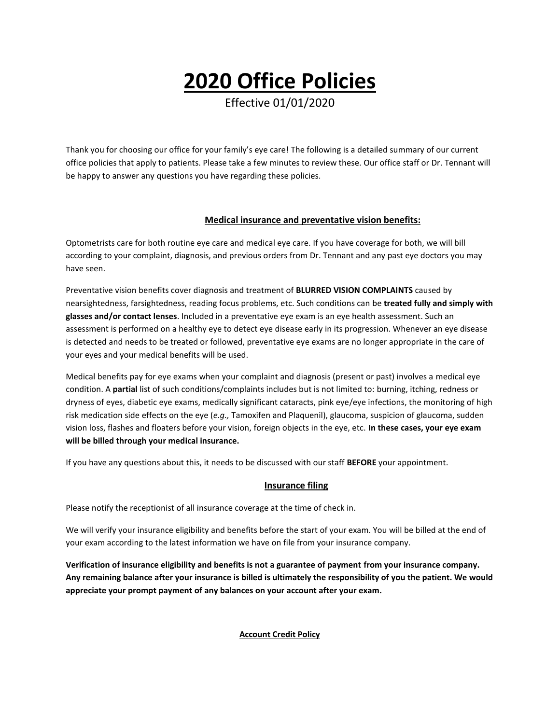# **2020 Office Policies**

Effective 01/01/2020

Thank you for choosing our office for your family's eye care! The following is a detailed summary of our current office policies that apply to patients. Please take a few minutes to review these. Our office staff or Dr. Tennant will be happy to answer any questions you have regarding these policies.

# **Medical insurance and preventative vision benefits:**

Optometrists care for both routine eye care and medical eye care. If you have coverage for both, we will bill according to your complaint, diagnosis, and previous orders from Dr. Tennant and any past eye doctors you may have seen.

Preventative vision benefits cover diagnosis and treatment of **BLURRED VISION COMPLAINTS** caused by nearsightedness, farsightedness, reading focus problems, etc. Such conditions can be **treated fully and simply with glasses and/or contact lenses**. Included in a preventative eye exam is an eye health assessment. Such an assessment is performed on a healthy eye to detect eye disease early in its progression. Whenever an eye disease is detected and needs to be treated or followed, preventative eye exams are no longer appropriate in the care of your eyes and your medical benefits will be used.

Medical benefits pay for eye exams when your complaint and diagnosis (present or past) involves a medical eye condition. A **partial** list of such conditions/complaints includes but is not limited to: burning, itching, redness or dryness of eyes, diabetic eye exams, medically significant cataracts, pink eye/eye infections, the monitoring of high risk medication side effects on the eye (*e.g.,* Tamoxifen and Plaquenil), glaucoma, suspicion of glaucoma, sudden vision loss, flashes and floaters before your vision, foreign objects in the eye, etc. **In these cases, your eye exam will be billed through your medical insurance.** 

If you have any questions about this, it needs to be discussed with our staff **BEFORE** your appointment.

## **Insurance filing**

Please notify the receptionist of all insurance coverage at the time of check in.

We will verify your insurance eligibility and benefits before the start of your exam. You will be billed at the end of your exam according to the latest information we have on file from your insurance company.

**Verification of insurance eligibility and benefits is not a guarantee of payment from your insurance company. Any remaining balance after your insurance is billed is ultimately the responsibility of you the patient. We would appreciate your prompt payment of any balances on your account after your exam.**

**Account Credit Policy**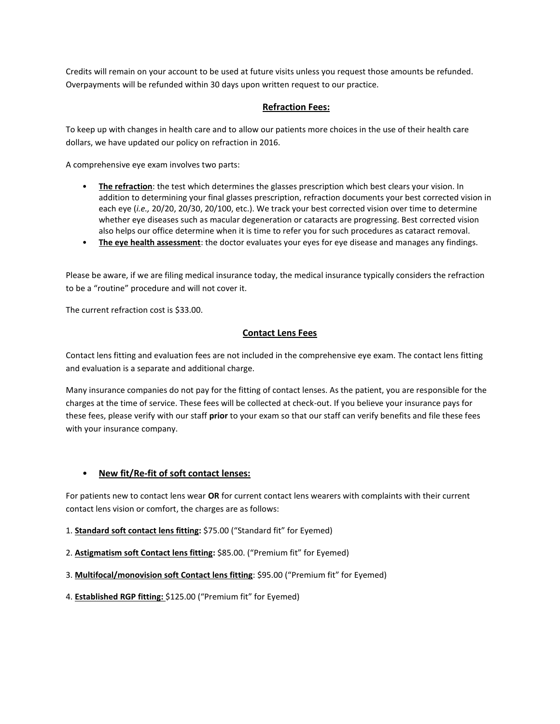Credits will remain on your account to be used at future visits unless you request those amounts be refunded. Overpayments will be refunded within 30 days upon written request to our practice.

#### **Refraction Fees:**

To keep up with changes in health care and to allow our patients more choices in the use of their health care dollars, we have updated our policy on refraction in 2016.

A comprehensive eye exam involves two parts:

- **The refraction**: the test which determines the glasses prescription which best clears your vision. In addition to determining your final glasses prescription, refraction documents your best corrected vision in each eye (*i.e.,* 20/20, 20/30, 20/100, etc.). We track your best corrected vision over time to determine whether eye diseases such as macular degeneration or cataracts are progressing. Best corrected vision also helps our office determine when it is time to refer you for such procedures as cataract removal.
- **The eye health assessment**: the doctor evaluates your eyes for eye disease and manages any findings.

Please be aware, if we are filing medical insurance today, the medical insurance typically considers the refraction to be a "routine" procedure and will not cover it.

The current refraction cost is \$33.00.

#### **Contact Lens Fees**

Contact lens fitting and evaluation fees are not included in the comprehensive eye exam. The contact lens fitting and evaluation is a separate and additional charge.

Many insurance companies do not pay for the fitting of contact lenses. As the patient, you are responsible for the charges at the time of service. These fees will be collected at check-out. If you believe your insurance pays for these fees, please verify with our staff **prior** to your exam so that our staff can verify benefits and file these fees with your insurance company.

#### • **New fit/Re-fit of soft contact lenses:**

For patients new to contact lens wear **OR** for current contact lens wearers with complaints with their current contact lens vision or comfort, the charges are as follows:

- 1. **Standard soft contact lens fitting:** \$75.00 ("Standard fit" for Eyemed)
- 2. **Astigmatism soft Contact lens fitting:** \$85.00. ("Premium fit" for Eyemed)
- 3. **Multifocal/monovision soft Contact lens fitting**: \$95.00 ("Premium fit" for Eyemed)
- 4. **Established RGP fitting:** \$125.00 ("Premium fit" for Eyemed)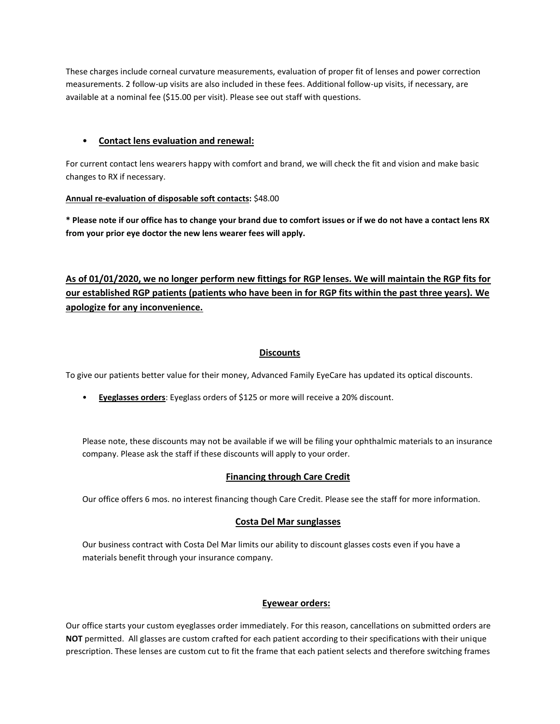These charges include corneal curvature measurements, evaluation of proper fit of lenses and power correction measurements. 2 follow-up visits are also included in these fees. Additional follow-up visits, if necessary, are available at a nominal fee (\$15.00 per visit). Please see out staff with questions.

# • **Contact lens evaluation and renewal:**

For current contact lens wearers happy with comfort and brand, we will check the fit and vision and make basic changes to RX if necessary.

## **Annual re-evaluation of disposable soft contacts:** \$48.00

**\* Please note if our office has to change your brand due to comfort issues or if we do not have a contact lens RX from your prior eye doctor the new lens wearer fees will apply.**

# **As of 01/01/2020, we no longer perform new fittings for RGP lenses. We will maintain the RGP fits for our established RGP patients (patients who have been in for RGP fits within the past three years). We apologize for any inconvenience.**

# **Discounts**

To give our patients better value for their money, Advanced Family EyeCare has updated its optical discounts.

• **Eyeglasses orders**: Eyeglass orders of \$125 or more will receive a 20% discount.

Please note, these discounts may not be available if we will be filing your ophthalmic materials to an insurance company. Please ask the staff if these discounts will apply to your order.

## **Financing through Care Credit**

Our office offers 6 mos. no interest financing though Care Credit. Please see the staff for more information.

## **Costa Del Mar sunglasses**

Our business contract with Costa Del Mar limits our ability to discount glasses costs even if you have a materials benefit through your insurance company.

## **Eyewear orders:**

Our office starts your custom eyeglasses order immediately. For this reason, cancellations on submitted orders are **NOT** permitted. All glasses are custom crafted for each patient according to their specifications with their unique prescription. These lenses are custom cut to fit the frame that each patient selects and therefore switching frames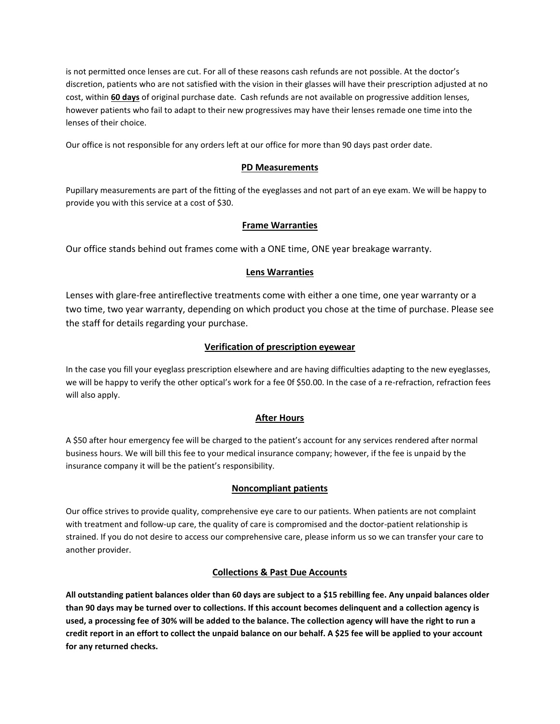is not permitted once lenses are cut. For all of these reasons cash refunds are not possible. At the doctor's discretion, patients who are not satisfied with the vision in their glasses will have their prescription adjusted at no cost, within **60 days** of original purchase date. Cash refunds are not available on progressive addition lenses, however patients who fail to adapt to their new progressives may have their lenses remade one time into the lenses of their choice.

Our office is not responsible for any orders left at our office for more than 90 days past order date.

#### **PD Measurements**

Pupillary measurements are part of the fitting of the eyeglasses and not part of an eye exam. We will be happy to provide you with this service at a cost of \$30.

## **Frame Warranties**

Our office stands behind out frames come with a ONE time, ONE year breakage warranty.

#### **Lens Warranties**

Lenses with glare-free antireflective treatments come with either a one time, one year warranty or a two time, two year warranty, depending on which product you chose at the time of purchase. Please see the staff for details regarding your purchase.

## **Verification of prescription eyewear**

In the case you fill your eyeglass prescription elsewhere and are having difficulties adapting to the new eyeglasses, we will be happy to verify the other optical's work for a fee 0f \$50.00. In the case of a re-refraction, refraction fees will also apply.

## **After Hours**

A \$50 after hour emergency fee will be charged to the patient's account for any services rendered after normal business hours. We will bill this fee to your medical insurance company; however, if the fee is unpaid by the insurance company it will be the patient's responsibility.

## **Noncompliant patients**

Our office strives to provide quality, comprehensive eye care to our patients. When patients are not complaint with treatment and follow-up care, the quality of care is compromised and the doctor-patient relationship is strained. If you do not desire to access our comprehensive care, please inform us so we can transfer your care to another provider.

## **Collections & Past Due Accounts**

**All outstanding patient balances older than 60 days are subject to a \$15 rebilling fee. Any unpaid balances older than 90 days may be turned over to collections. If this account becomes delinquent and a collection agency is used, a processing fee of 30% will be added to the balance. The collection agency will have the right to run a credit report in an effort to collect the unpaid balance on our behalf. A \$25 fee will be applied to your account for any returned checks.**